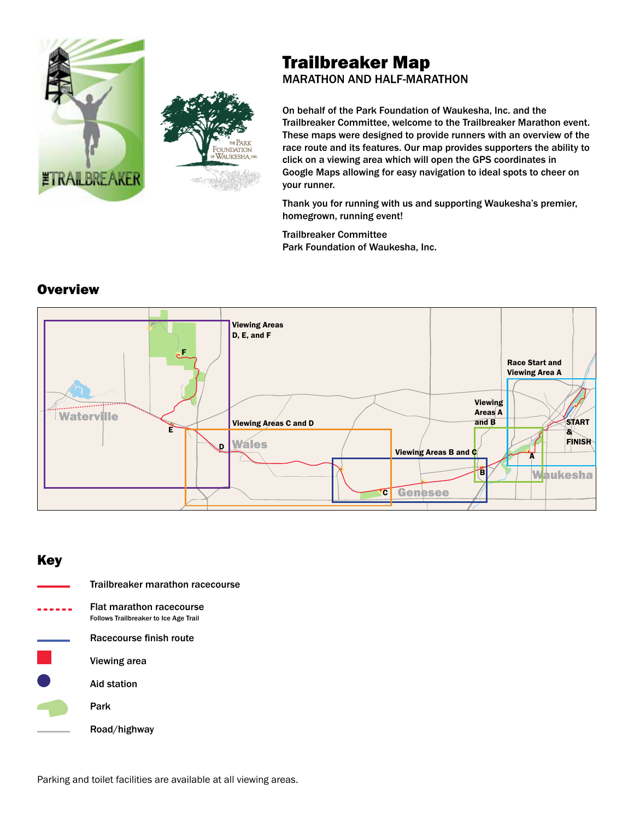



# Trailbreaker Map

MARATHON AND HALF-MARATHON

On behalf of the Park Foundation of Waukesha, Inc. and the Trailbreaker Committee, welcome to the Trailbreaker Marathon event. These maps were designed to provide runners with an overview of the race route and its features. Our map provides supporters the ability to click on a viewing area which will open the GPS coordinates in Google Maps allowing for easy navigation to ideal spots to cheer on your runner.

Thank you for running with us and supporting Waukesha's premier, homegrown, running event!

Trailbreaker Committee Park Foundation of Waukesha, Inc.



# Key

| Trailbreaker marathon racecourse                                         |
|--------------------------------------------------------------------------|
| Flat marathon racecourse<br><b>Follows Trailbreaker to Ice Age Trail</b> |
| Racecourse finish route                                                  |
| Viewing area                                                             |
| Aid station                                                              |
| Park                                                                     |
| Road/highway                                                             |

Parking and toilet facilities are available at all viewing areas.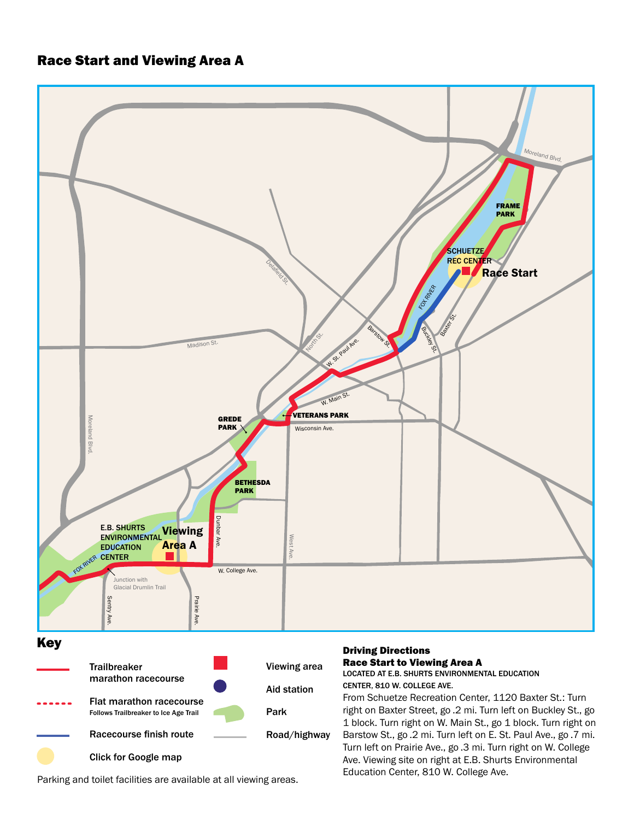# Race Start and Viewing Area A



Parking and toilet facilities are available at all viewing areas.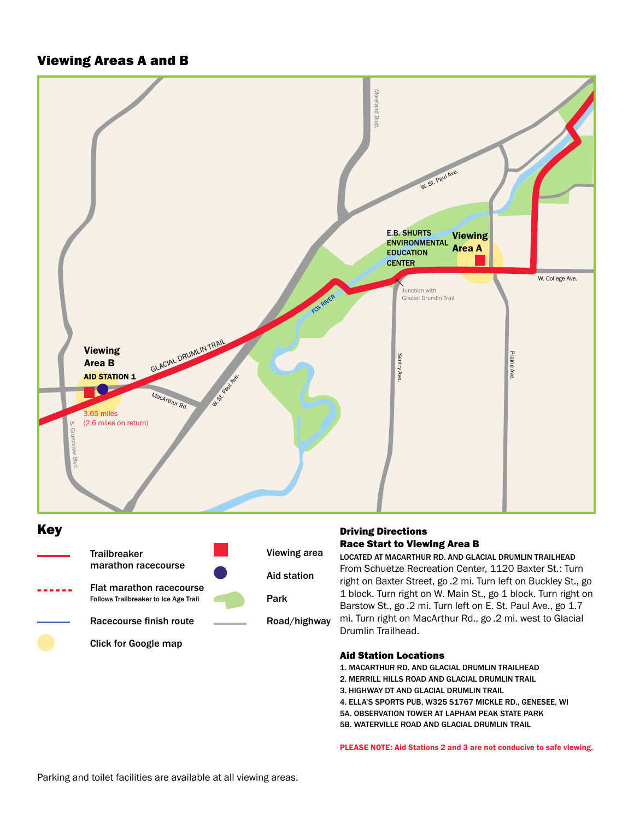## Viewing Areas A and B



## Key



#### Driving Directions Race Start to Viewing Area B

LOCATED AT MACARTHUR RD. AND GLACIAL DRUMLIN TRAILHEAD From Schuetze Recreation Center, 1120 Baxter St.: Turn right on Baxter Street, go .2 mi. Turn left on Buckley St., go 1 block. Turn right on W. Main St., go 1 block. Turn right on Barstow St., go .2 mi. Turn left on E. St. Paul Ave., go 1.7 mi. Turn right on MacArthur Rd., go .2 mi. west to Glacial Drumlin Trailhead.

#### Aid Station Locations

1. MACARTHUR RD. AND GLACIAL DRUMLIN TRAILHEAD

- 2. MERRILL HILLS ROAD AND GLACIAL DRUMLIN TRAIL
- 3. HIGHWAY DT AND GLACIAL DRUMLIN TRAIL

4. ELLA'S SPORTS PUB, W325 S1767 MICKLE RD., GENESEE, WI

5A. OBSERVATION TOWER AT LAPHAM PEAK STATE PARK

5B. WATERVILLE ROAD AND GLACIAL DRUMLIN TRAIL

PLEASE NOTE: Aid Stations 2 and 3 are not conducive to safe viewing.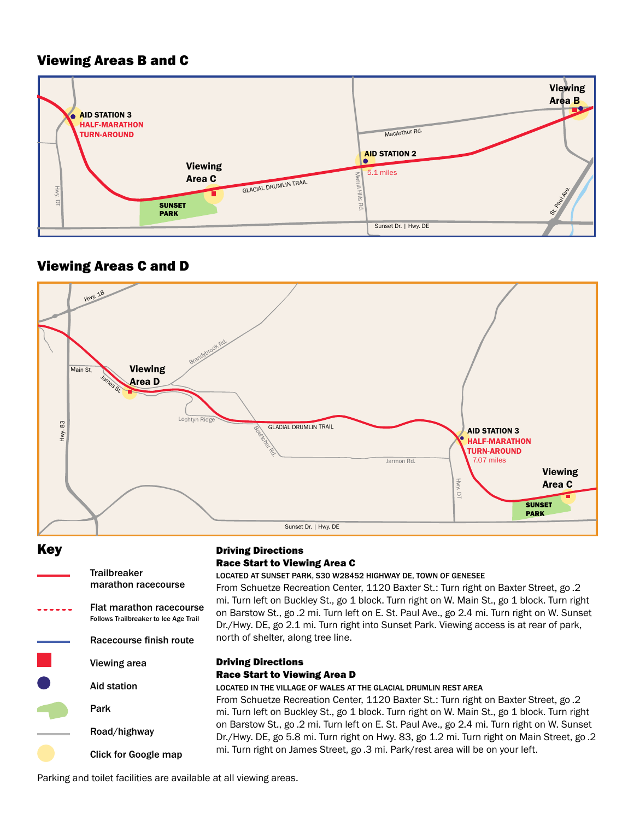# Viewing Areas B and C



# Viewing Areas C and D



Key



## Driving Directions Race Start to Viewing Area C

LOCATED AT SUNSET PARK, S30 W28452 HIGHWAY DE, TOWN OF GENESEE

From Schuetze Recreation Center, 1120 Baxter St.: Turn right on Baxter Street, go .2 mi. Turn left on Buckley St., go 1 block. Turn right on W. Main St., go 1 block. Turn right on Barstow St., go .2 mi. Turn left on E. St. Paul Ave., go 2.4 mi. Turn right on W. Sunset Dr./Hwy. DE, go 2.1 mi. Turn right into Sunset Park. Viewing access is at rear of park, north of shelter, along tree line.

### Driving Directions Race Start to Viewing Area D

From Schuetze Recreation Center, 1120 Baxter St.: Turn right on Baxter Street, go .2 mi. Turn left on Buckley St., go 1 block. Turn right on W. Main St., go 1 block. Turn right LOCATED IN THE VILLAGE OF WALES AT THE GLACIAL DRUMLIN REST AREA on Barstow St., go .2 mi. Turn left on E. St. Paul Ave., go 2.4 mi. Turn right on W. Sunset Dr./Hwy. DE, go 5.8 mi. Turn right on Hwy. 83, go 1.2 mi. Turn right on Main Street, go .2 mi. Turn right on James Street, go .3 mi. Park/rest area will be on your left.

Parking and toilet facilities are available at all viewing areas.